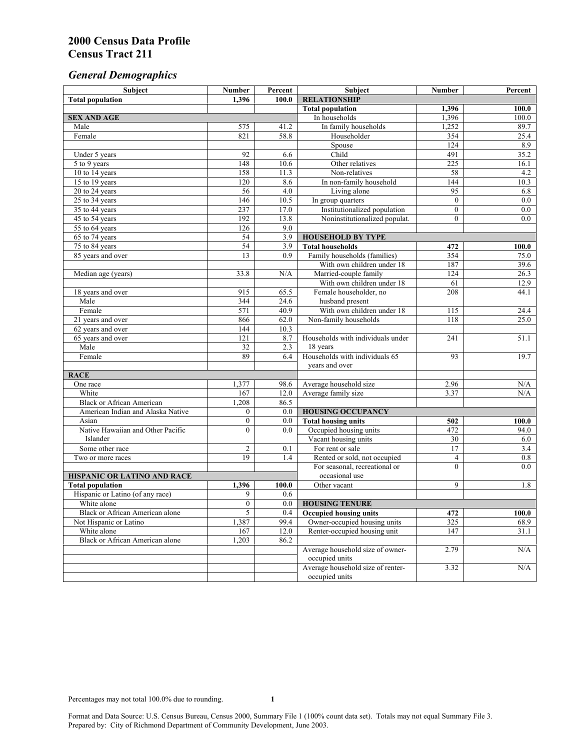# *General Demographics*

| Subject                           | <b>Number</b>         | Percent    | Subject                                                 | <b>Number</b>  | Percent       |
|-----------------------------------|-----------------------|------------|---------------------------------------------------------|----------------|---------------|
| <b>Total population</b>           | 1,396                 | 100.0      | <b>RELATIONSHIP</b>                                     |                |               |
|                                   |                       |            | <b>Total population</b>                                 | 1,396          | 100.0         |
| <b>SEX AND AGE</b>                |                       |            | In households                                           | 1,396          | 100.0         |
| Male                              | 575                   | 41.2       | In family households                                    | 1,252          | 89.7          |
| Female                            | 821                   | 58.8       | Householder                                             | 354            | 25.4          |
|                                   |                       |            | Spouse                                                  | 124            | 8.9           |
| Under 5 years                     | 92                    | 6.6        | Child                                                   | 491            | 35.2          |
| 5 to 9 years                      | 148                   | 10.6       | Other relatives                                         | 225            | 16.1          |
| 10 to 14 years                    | 158                   | 11.3       | Non-relatives                                           | 58             | 4.2           |
| 15 to 19 years                    | 120                   | 8.6        | In non-family household                                 | 144            | 10.3          |
| 20 to 24 years                    | 56                    | 4.0        | Living alone                                            | 95             | 6.8           |
| $25 \text{ to } 34$ years         | 146                   | 10.5       | In group quarters                                       | $\overline{0}$ | $0.0\,$       |
| 35 to 44 years                    | 237                   | 17.0       | Institutionalized population                            | $\mathbf{0}$   | 0.0           |
| 45 to 54 years                    | 192                   | 13.8       | Noninstitutionalized populat.                           | $\overline{0}$ | 0.0           |
| 55 to 64 years                    | 126                   | 9.0        |                                                         |                |               |
| 65 to 74 years                    | 54                    | 3.9        | <b>HOUSEHOLD BY TYPE</b>                                |                |               |
| 75 to 84 years                    | 54<br>$\overline{13}$ | 3.9<br>0.9 | <b>Total households</b><br>Family households (families) | 472<br>354     | 100.0<br>75.0 |
| 85 years and over                 |                       |            | With own children under 18                              | 187            | 39.6          |
|                                   | 33.8                  | N/A        | Married-couple family                                   | 124            | 26.3          |
| Median age (years)                |                       |            | With own children under 18                              | 61             | 12.9          |
|                                   | 915                   | 65.5       | Female householder, no                                  | 208            | 44.1          |
| 18 years and over<br>Male         | 344                   | 24.6       | husband present                                         |                |               |
| Female                            | 571                   | 40.9       | With own children under 18                              | 115            | 24.4          |
| 21 years and over                 | 866                   | 62.0       | Non-family households                                   | 118            | 25.0          |
| 62 years and over                 | 144                   | 10.3       |                                                         |                |               |
| 65 years and over                 | 121                   | 8.7        | Households with individuals under                       | 241            | 51.1          |
| Male                              | 32                    | 2.3        | 18 years                                                |                |               |
| Female                            | 89                    | 6.4        | Households with individuals 65                          | 93             | 19.7          |
|                                   |                       |            | years and over                                          |                |               |
| <b>RACE</b>                       |                       |            |                                                         |                |               |
| One race                          | 1,377                 | 98.6       | Average household size                                  | 2.96           | $\rm N/A$     |
| White                             | 167                   | 12.0       | Average family size                                     | 3.37           | N/A           |
| <b>Black or African American</b>  | 1,208                 | 86.5       |                                                         |                |               |
| American Indian and Alaska Native | $\boldsymbol{0}$      | $0.0\,$    | <b>HOUSING OCCUPANCY</b>                                |                |               |
| Asian                             | $\boldsymbol{0}$      | 0.0        | <b>Total housing units</b>                              | 502            | 100.0         |
| Native Hawaiian and Other Pacific | $\theta$              | 0.0        | Occupied housing units                                  | 472            | 94.0          |
| Islander                          |                       |            | Vacant housing units                                    | 30             | 6.0           |
| Some other race                   | $\overline{c}$        | 0.1        | For rent or sale                                        | 17             | 3.4           |
| Two or more races                 | 19                    | 1.4        | Rented or sold, not occupied                            | $\overline{4}$ | $0.8\,$       |
|                                   |                       |            | For seasonal, recreational or                           | $\theta$       | 0.0           |
| HISPANIC OR LATINO AND RACE       |                       |            | occasional use                                          |                |               |
| <b>Total population</b>           | 1,396                 | 100.0      | Other vacant                                            | 9              | 1.8           |
| Hispanic or Latino (of any race)  | 9                     | 0.6        |                                                         |                |               |
| White alone                       | $\overline{0}$        | 0.0        | <b>HOUSING TENURE</b>                                   |                |               |
| Black or African American alone   | 5                     | 0.4        | <b>Occupied housing units</b>                           | 472            | 100.0         |
| Not Hispanic or Latino            | 1,387                 | 99.4       | Owner-occupied housing units                            | 325            | 68.9          |
| White alone                       | 167                   | 12.0       | Renter-occupied housing unit                            | 147            | 31.1          |
| Black or African American alone   | 1,203                 | 86.2       |                                                         |                |               |
|                                   |                       |            | Average household size of owner-                        | 2.79           | N/A           |
|                                   |                       |            | occupied units                                          |                |               |
|                                   |                       |            | Average household size of renter-                       | 3.32           | N/A           |
|                                   |                       |            | occupied units                                          |                |               |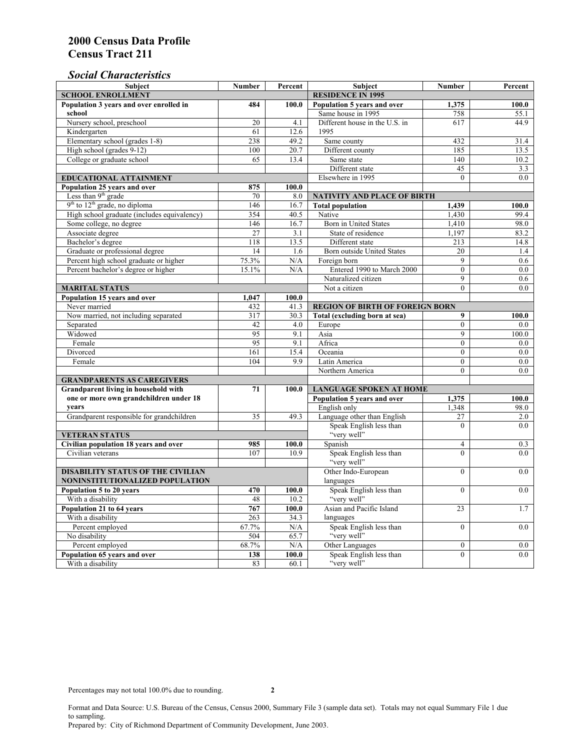### *Social Characteristics*

| <b>Subject</b>                                 | <b>Number</b>            | Percent       | <b>Subject</b>                         | <b>Number</b>    | Percent |
|------------------------------------------------|--------------------------|---------------|----------------------------------------|------------------|---------|
| <b>SCHOOL ENROLLMENT</b>                       | <b>RESIDENCE IN 1995</b> |               |                                        |                  |         |
| Population 3 years and over enrolled in        | 484                      | 100.0         | Population 5 years and over            | 1,375            | 100.0   |
| school                                         |                          |               | Same house in 1995                     | 758              | 55.1    |
| Nursery school, preschool                      | 20                       | 4.1           | Different house in the U.S. in         | 617              | 44.9    |
| Kindergarten                                   | 61                       | 12.6          | 1995                                   |                  |         |
| Elementary school (grades 1-8)                 | 238                      | 49.2          | Same county                            | 432              | 31.4    |
| High school (grades 9-12)                      | 100                      | 20.7          | Different county                       | 185              | 13.5    |
| College or graduate school                     | 65                       | 13.4          | Same state                             | 140              | 10.2    |
|                                                |                          |               | Different state                        | 45               | 3.3     |
| EDUCATIONAL ATTAINMENT                         |                          |               | Elsewhere in 1995                      | $\theta$         | 0.0     |
| Population 25 years and over                   | 875                      | 100.0         |                                        |                  |         |
| Less than 9 <sup>th</sup> grade                | 70                       | 8.0           | NATIVITY AND PLACE OF BIRTH            |                  |         |
| $9th$ to $12th$ grade, no diploma              | 146                      | 16.7          | <b>Total population</b>                | 1,439            | 100.0   |
| High school graduate (includes equivalency)    | 354                      | 40.5          | Native                                 | 1.430            | 99.4    |
| Some college, no degree                        | 146                      | 16.7          | Born in United States                  | 1,410            | 98.0    |
| Associate degree                               | $\overline{27}$          | 3.1           | State of residence                     | 1,197            | 83.2    |
| Bachelor's degree                              | 118                      | 13.5          | Different state                        | 213              | 14.8    |
| Graduate or professional degree                | 14                       | 1.6           | Born outside United States             | 20               | 1.4     |
| Percent high school graduate or higher         | 75.3%                    | N/A           | Foreign born                           | 9                | 0.6     |
| Percent bachelor's degree or higher            | 15.1%                    | N/A           | Entered 1990 to March 2000             | $\mathbf{0}$     | 0.0     |
|                                                |                          |               | Naturalized citizen                    | 9                | 0.6     |
| <b>MARITAL STATUS</b>                          | Not a citizen            | $\theta$      | 0.0                                    |                  |         |
| Population 15 years and over                   | 1,047                    | 100.0         |                                        |                  |         |
| Never married                                  | 432                      | 41.3          | <b>REGION OF BIRTH OF FOREIGN BORN</b> |                  |         |
| Now married, not including separated           | 317                      | 30.3          | Total (excluding born at sea)          | 9                | 100.0   |
| Separated                                      | 42                       | 4.0           | Europe                                 | $\overline{0}$   | 0.0     |
| Widowed                                        | 95                       | 9.1           | Asia                                   | 9                | 100.0   |
| Female                                         | 95                       | 9.1           | Africa                                 | $\theta$         | 0.0     |
| Divorced                                       | 161                      | 15.4          | Oceania                                | $\theta$         | 0.0     |
| Female                                         | 104                      | 9.9           | Latin America                          | $\theta$         | 0.0     |
|                                                |                          |               | Northern America                       | $\theta$         | 0.0     |
| <b>GRANDPARENTS AS CAREGIVERS</b>              |                          |               |                                        |                  |         |
| Grandparent living in household with<br>71     |                          | 100.0         | <b>LANGUAGE SPOKEN AT HOME</b>         |                  |         |
| one or more own grandchildren under 18         |                          |               | Population 5 years and over            | 1,375            | 100.0   |
| years                                          |                          |               | English only                           | 1,348            | 98.0    |
| Grandparent responsible for grandchildren      | 35                       | 49.3          | Language other than English            | 27               | 2.0     |
|                                                |                          |               | Speak English less than                | $\theta$         | 0.0     |
| <b>VETERAN STATUS</b>                          |                          |               | "very well"                            |                  |         |
| Civilian population 18 years and over          | 985                      | 100.0         | Spanish                                | $\overline{4}$   | 0.3     |
| Civilian veterans                              | 107                      | 10.9          | Speak English less than<br>"very well" | $\theta$         | 0.0     |
|                                                |                          |               |                                        |                  |         |
| <b>DISABILITY STATUS OF THE CIVILIAN</b>       | Other Indo-European      | $\theta$      | 0.0                                    |                  |         |
| NONINSTITUTIONALIZED POPULATION                | languages                |               |                                        |                  |         |
| Population 5 to 20 years                       | 470                      | 100.0         | Speak English less than<br>"very well" | $\Omega$         | 0.0     |
| With a disability                              | 48<br>767                | 10.2<br>100.0 | Asian and Pacific Island               | 23               |         |
| Population 21 to 64 years<br>With a disability | 263                      |               | languages                              |                  | 1.7     |
| Percent employed                               | 67.7%                    | 34.3<br>N/A   | Speak English less than                | $\overline{0}$   | 0.0     |
| No disability                                  | 504                      | 65.7          | "very well"                            |                  |         |
| Percent employed                               | 68.7%                    | $\rm N/A$     | Other Languages                        | $\boldsymbol{0}$ | $0.0\,$ |
| Population 65 years and over                   | 138                      | 100.0         | Speak English less than                | $\overline{0}$   | 0.0     |
| With a disability                              | 83                       | 60.1          | "very well"                            |                  |         |
|                                                |                          |               |                                        |                  |         |

Format and Data Source: U.S. Bureau of the Census, Census 2000, Summary File 3 (sample data set). Totals may not equal Summary File 1 due to sampling.

Prepared by: City of Richmond Department of Community Development, June 2003.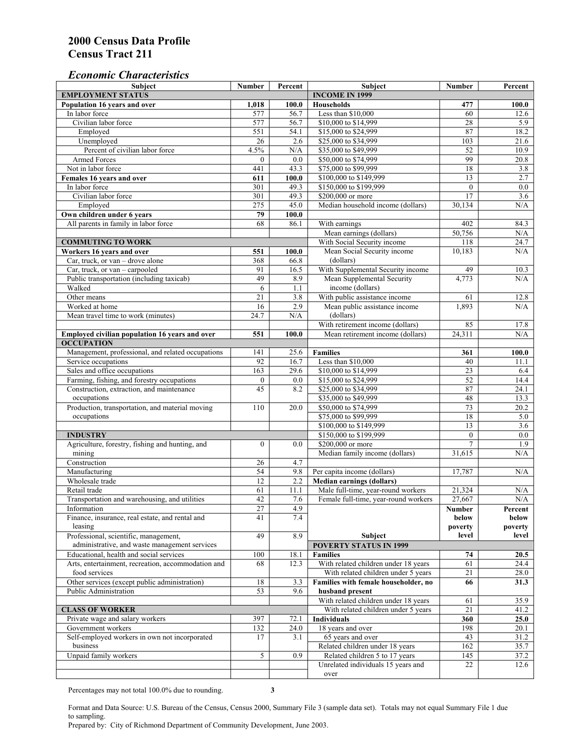#### *Economic Characteristics*

| <b>Subject</b>                                            | Number           | Percent     | Subject                                              | Number          | Percent          |
|-----------------------------------------------------------|------------------|-------------|------------------------------------------------------|-----------------|------------------|
| <b>EMPLOYMENT STATUS</b>                                  |                  |             | <b>INCOME IN 1999</b>                                |                 |                  |
| Population 16 years and over                              | 1,018            | 100.0       | <b>Households</b>                                    | 477             | 100.0            |
| In labor force                                            | 577              | 56.7        | Less than \$10,000                                   | 60              | 12.6             |
| Civilian labor force                                      | 577              | 56.7        | \$10,000 to \$14,999                                 | 28              | 5.9              |
| Employed                                                  | 551              | 54.1        | \$15,000 to \$24,999                                 | 87              | 18.2             |
| Unemployed                                                | 26               | 2.6         | \$25,000 to \$34,999                                 | 103             | 21.6             |
| Percent of civilian labor force                           | 4.5%             | N/A         | \$35,000 to \$49,999                                 | 52              | 10.9             |
| Armed Forces                                              | $\mathbf{0}$     | 0.0         | \$50,000 to \$74,999                                 | 99              | 20.8             |
| Not in labor force                                        | 441              | 43.3        | \$75,000 to \$99,999                                 | 18              | 3.8              |
| Females 16 years and over                                 | 611              | 100.0       | \$100,000 to \$149,999                               | 13              | 2.7              |
| In labor force                                            | 301              | 49.3        | \$150,000 to \$199,999                               | $\mathbf{0}$    | $\overline{0.0}$ |
| Civilian labor force                                      | 301              | 49.3        | \$200,000 or more                                    | $\overline{17}$ | 3.6              |
| Employed                                                  | 275              | 45.0        | Median household income (dollars)                    | 30,134          | N/A              |
| Own children under 6 years                                | 79               | 100.0       |                                                      |                 |                  |
| All parents in family in labor force                      | 68               | 86.1        | With earnings                                        | 402             | 84.3             |
|                                                           |                  |             | Mean earnings (dollars)                              | 50,756          | N/A              |
| <b>COMMUTING TO WORK</b>                                  |                  |             | With Social Security income                          | 118             | 24.7             |
| Workers 16 years and over                                 | 551              | 100.0       | Mean Social Security income                          | 10,183          | N/A              |
| Car, truck, or van – drove alone                          | 368              | 66.8        | (dollars)                                            |                 |                  |
| Car, truck, or van - carpooled                            | 91               | 16.5        | With Supplemental Security income                    | 49              | 10.3             |
| Public transportation (including taxicab)                 | 49               | 8.9         | Mean Supplemental Security                           | 4,773           | N/A              |
| Walked                                                    | 6                | 1.1         | income (dollars)                                     |                 |                  |
| Other means                                               | $\overline{21}$  | 3.8         | With public assistance income                        | 61              | 12.8             |
| Worked at home                                            | 16               | 2.9         | Mean public assistance income                        | 1,893           | N/A              |
| Mean travel time to work (minutes)                        | 24.7             | N/A         | (dollars)                                            |                 |                  |
|                                                           |                  |             | With retirement income (dollars)                     | 85              | 17.8             |
| Employed civilian population 16 years and over            | 551              | 100.0       | Mean retirement income (dollars)                     | 24,311          | N/A              |
| <b>OCCUPATION</b>                                         |                  |             |                                                      |                 |                  |
| Management, professional, and related occupations         | 141              | 25.6        | <b>Families</b>                                      | 361             | 100.0            |
| Service occupations                                       | 92               | 16.7        | Less than \$10,000                                   | 40              | 11.1             |
| Sales and office occupations                              | 163              | 29.6        | \$10,000 to \$14,999                                 | $\overline{23}$ | 6.4              |
| Farming, fishing, and forestry occupations                | $\boldsymbol{0}$ | 0.0         | \$15,000 to \$24,999                                 | 52              | 14.4             |
| Construction, extraction, and maintenance                 | $\overline{45}$  | 8.2         | \$25,000 to \$34,999                                 | 87              | 24.1             |
| occupations                                               |                  |             | \$35,000 to \$49,999                                 | 48              | 13.3             |
| Production, transportation, and material moving           | 110              | 20.0        | \$50,000 to \$74,999                                 | 73              | 20.2             |
| occupations                                               |                  |             | \$75,000 to \$99,999                                 | 18              | 5.0              |
|                                                           |                  |             | \$100,000 to \$149,999                               | 13              | 3.6              |
| <b>INDUSTRY</b>                                           |                  |             | \$150,000 to \$199,999                               | $\mathbf{0}$    | 0.0              |
| Agriculture, forestry, fishing and hunting, and           | $\boldsymbol{0}$ | 0.0         | \$200,000 or more                                    | $\overline{7}$  | 1.9              |
| mining                                                    |                  |             | Median family income (dollars)                       | 31,615          | N/A              |
| Construction                                              | 26               | 4.7         |                                                      |                 |                  |
| Manufacturing                                             | 54               | 9.8         | Per capita income (dollars)                          | 17.787          | N/A              |
| Wholesale trade                                           | 12               | 2.2         | <b>Median earnings (dollars)</b>                     |                 |                  |
| Retail trade                                              | 61               | 11.1        | Male full-time, year-round workers                   | 21,324          | N/A              |
| Transportation and warehousing, and utilities             | 42               | 7.6         | Female full-time, year-round workers                 | 27,667          | N/A              |
| Information                                               | 27               | 4.9         |                                                      | Number          | Percent          |
| Finance, insurance, real estate, and rental and           | 41               | 7.4         |                                                      | below           | below            |
| leasing                                                   |                  |             |                                                      | poverty         | poverty          |
| Professional, scientific, management,                     | 49               | 8.9         | Subject                                              | level           | level            |
| administrative, and waste management services             |                  |             | <b>POVERTY STATUS IN 1999</b>                        |                 |                  |
| Educational, health and social services                   | 100              | 18.1        | <b>Families</b>                                      | 74              | 20.5             |
| Arts, entertainment, recreation, accommodation and        | 68               | 12.3        | With related children under 18 years                 | 61              | 24.4             |
| food services                                             |                  |             | With related children under 5 years                  | 21              | 28.0             |
| Other services (except public administration)             | 18               | 3.3         | Families with female householder, no                 | 66              | 31.3             |
| Public Administration                                     | $\overline{53}$  | 9.6         | husband present                                      |                 |                  |
|                                                           |                  |             | With related children under 18 years                 | 61              | 35.9             |
| <b>CLASS OF WORKER</b>                                    |                  |             | With related children under 5 years                  | 21              | 41.2             |
| Private wage and salary workers                           | 397              | 72.1        | Individuals                                          | 360             | 25.0             |
| Government workers                                        |                  |             |                                                      |                 |                  |
|                                                           | 132              | 24.0<br>3.1 | 18 years and over                                    | 198             | 20.1             |
| Self-employed workers in own not incorporated<br>business | 17               |             | 65 years and over<br>Related children under 18 years | 43<br>162       | 31.2<br>35.7     |
|                                                           | 5                | 0.9         |                                                      |                 |                  |
| Unpaid family workers                                     |                  |             | Related children 5 to 17 years                       | 145             | 37.2             |
|                                                           |                  |             | Unrelated individuals 15 years and                   | 22              | 12.6             |
|                                                           |                  |             | over                                                 |                 |                  |

Percentages may not total 100.0% due to rounding. **3** 

Format and Data Source: U.S. Bureau of the Census, Census 2000, Summary File 3 (sample data set). Totals may not equal Summary File 1 due to sampling.

Prepared by: City of Richmond Department of Community Development, June 2003.